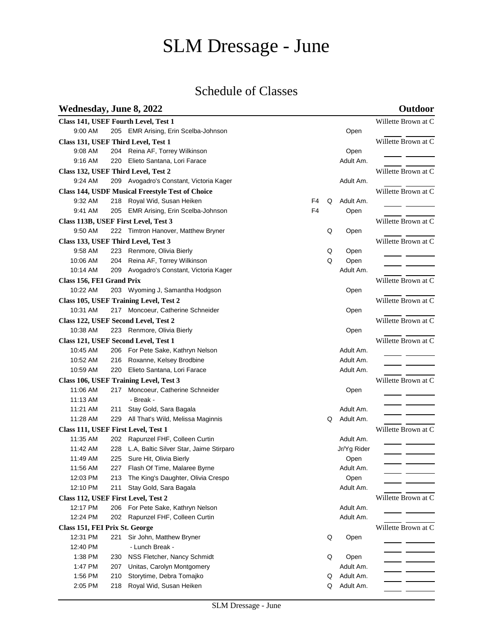# SLM Dressage - June

# Schedule of Classes

## **Wednesday, June 8, 2022 Outdoor**

|                                      |                     | Class 141, USEF Fourth Level, Test 1                    |                |   |             | Willette Brown at C |
|--------------------------------------|---------------------|---------------------------------------------------------|----------------|---|-------------|---------------------|
| 9:00 AM                              |                     | 205 EMR Arising, Erin Scelba-Johnson                    |                |   | Open        |                     |
|                                      |                     | Class 131, USEF Third Level, Test 1                     |                |   |             | Willette Brown at C |
| 9:08 AM                              |                     | 204 Reina AF, Torrey Wilkinson                          |                |   | Open        |                     |
| 9:16 AM                              |                     | 220 Elieto Santana, Lori Farace                         |                |   | Adult Am.   |                     |
|                                      |                     | Class 132, USEF Third Level, Test 2                     |                |   |             | Willette Brown at C |
| 9:24 AM                              |                     | 209 Avogadro's Constant, Victoria Kager                 |                |   | Adult Am.   |                     |
|                                      |                     | <b>Class 144, USDF Musical Freestyle Test of Choice</b> |                |   |             | Willette Brown at C |
| 9:32 AM                              |                     | 218 Royal Wid, Susan Heiken                             | F <sub>4</sub> | Q | Adult Am.   |                     |
| 9:41 AM                              |                     | 205 EMR Arising, Erin Scelba-Johnson                    | F <sub>4</sub> |   | Open        |                     |
| Class 113B, USEF First Level, Test 3 | Willette Brown at C |                                                         |                |   |             |                     |
| 9:50 AM                              |                     | 222 Timtron Hanover, Matthew Bryner                     |                | Q | Open        |                     |
|                                      |                     | Class 133, USEF Third Level, Test 3                     |                |   |             | Willette Brown at C |
| 9:58 AM                              | 223                 | Renmore, Olivia Bierly                                  |                | Q | Open        |                     |
| 10:06 AM                             |                     | 204 Reina AF, Torrey Wilkinson                          |                | Q | Open        |                     |
| 10:14 AM                             |                     | 209 Avogadro's Constant, Victoria Kager                 |                |   | Adult Am.   |                     |
| Class 156, FEI Grand Prix            |                     |                                                         |                |   |             | Willette Brown at C |
| 10:22 AM                             |                     | 203 Wyoming J, Samantha Hodgson                         |                |   | Open        |                     |
|                                      |                     | Class 105, USEF Training Level, Test 2                  |                |   |             | Willette Brown at C |
| 10:31 AM                             | 217                 | Moncoeur, Catherine Schneider                           |                |   | Open        |                     |
|                                      |                     | Class 122, USEF Second Level, Test 2                    |                |   |             | Willette Brown at C |
| 10:38 AM                             |                     | 223 Renmore, Olivia Bierly                              |                |   | Open        |                     |
|                                      |                     | Class 121, USEF Second Level, Test 1                    |                |   |             | Willette Brown at C |
| 10:45 AM                             |                     | 206 For Pete Sake, Kathryn Nelson                       |                |   | Adult Am.   |                     |
| 10:52 AM                             |                     | 216 Roxanne, Kelsey Brodbine                            |                |   | Adult Am.   |                     |
| 10:59 AM                             |                     | 220 Elieto Santana, Lori Farace                         |                |   | Adult Am.   |                     |
|                                      |                     | Class 106, USEF Training Level, Test 3                  |                |   |             | Willette Brown at C |
| 11:06 AM                             |                     | 217 Moncoeur, Catherine Schneider                       |                |   | Open        |                     |
| 11:13 AM                             |                     | - Break -                                               |                |   |             |                     |
| 11:21 AM                             | 211                 | Stay Gold, Sara Bagala                                  |                |   | Adult Am.   |                     |
| 11:28 AM                             | 229                 | All That's Wild, Melissa Maginnis                       |                | Q | Adult Am.   |                     |
| Class 111, USEF First Level, Test 1  |                     |                                                         |                |   |             | Willette Brown at C |
| 11:35 AM                             | 202                 | Rapunzel FHF, Colleen Curtin                            |                |   | Adult Am.   |                     |
| 11:42 AM                             | 228                 | L.A, Baltic Silver Star, Jaime Stirparo                 |                |   | Jr/Yg Rider | - -                 |
| 11:49 AM                             | 225                 | Sure Hit, Olivia Bierly                                 |                |   | Open        |                     |
| 11:56 AM                             |                     | 227 Flash Of Time, Malaree Byrne                        |                |   | Adult Am.   |                     |
| 12:03 PM                             | 213                 | The King's Daughter, Olivia Crespo                      |                |   | Open        |                     |
| 12:10 PM                             | 211                 | Stay Gold, Sara Bagala                                  |                |   | Adult Am.   |                     |
| Class 112, USEF First Level, Test 2  |                     | Willette Brown at C                                     |                |   |             |                     |
| 12:17 PM                             | 206                 | For Pete Sake, Kathryn Nelson                           |                |   | Adult Am.   |                     |
| 12:24 PM                             | 202                 | Rapunzel FHF, Colleen Curtin                            |                |   | Adult Am.   |                     |
| Class 151, FEI Prix St. George       | Willette Brown at C |                                                         |                |   |             |                     |
| 12:31 PM                             | 221                 | Sir John, Matthew Bryner                                |                | Q | Open        |                     |
| 12:40 PM                             |                     | - Lunch Break -                                         |                |   |             |                     |
| 1:38 PM                              | 230                 | NSS Fletcher, Nancy Schmidt                             |                | Q | Open        |                     |
| 1:47 PM                              | 207                 | Unitas, Carolyn Montgomery                              |                |   | Adult Am.   |                     |
| 1:56 PM                              | 210                 | Storytime, Debra Tomajko                                |                | Q | Adult Am.   |                     |
| 2:05 PM                              | 218                 | Royal Wid, Susan Heiken                                 |                | Q | Adult Am.   |                     |
|                                      |                     |                                                         |                |   |             |                     |